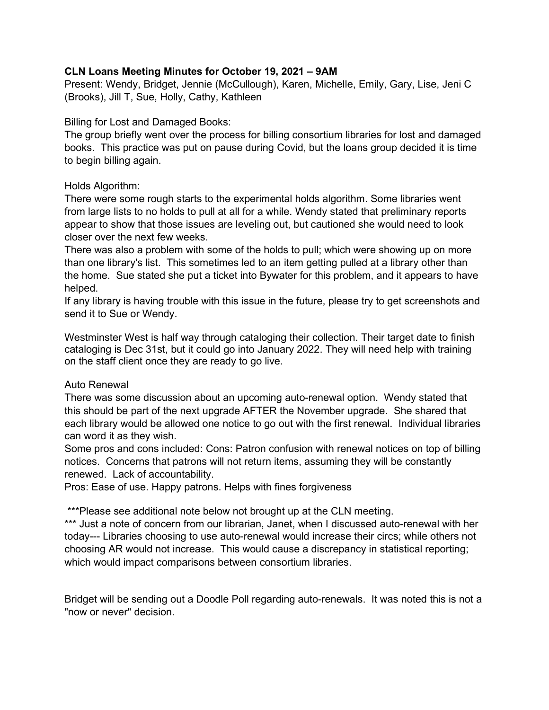# CLN Loans Meeting Minutes for October 19, 2021 – 9AM

Present: Wendy, Bridget, Jennie (McCullough), Karen, Michelle, Emily, Gary, Lise, Jeni C (Brooks), Jill T, Sue, Holly, Cathy, Kathleen

### Billing for Lost and Damaged Books:

The group briefly went over the process for billing consortium libraries for lost and damaged books. This practice was put on pause during Covid, but the loans group decided it is time to begin billing again.

### Holds Algorithm:

There were some rough starts to the experimental holds algorithm. Some libraries went from large lists to no holds to pull at all for a while. Wendy stated that preliminary reports appear to show that those issues are leveling out, but cautioned she would need to look closer over the next few weeks.

There was also a problem with some of the holds to pull; which were showing up on more than one library's list. This sometimes led to an item getting pulled at a library other than the home. Sue stated she put a ticket into Bywater for this problem, and it appears to have helped.

If any library is having trouble with this issue in the future, please try to get screenshots and send it to Sue or Wendy.

Westminster West is half way through cataloging their collection. Their target date to finish cataloging is Dec 31st, but it could go into January 2022. They will need help with training on the staff client once they are ready to go live.

# Auto Renewal

There was some discussion about an upcoming auto-renewal option. Wendy stated that this should be part of the next upgrade AFTER the November upgrade. She shared that each library would be allowed one notice to go out with the first renewal. Individual libraries can word it as they wish.

Some pros and cons included: Cons: Patron confusion with renewal notices on top of billing notices. Concerns that patrons will not return items, assuming they will be constantly renewed. Lack of accountability.

Pros: Ease of use. Happy patrons. Helps with fines forgiveness

\*\*\*Please see additional note below not brought up at the CLN meeting.

\*\*\* Just a note of concern from our librarian, Janet, when I discussed auto-renewal with her today--- Libraries choosing to use auto-renewal would increase their circs; while others not choosing AR would not increase. This would cause a discrepancy in statistical reporting; which would impact comparisons between consortium libraries.

Bridget will be sending out a Doodle Poll regarding auto-renewals. It was noted this is not a "now or never" decision.